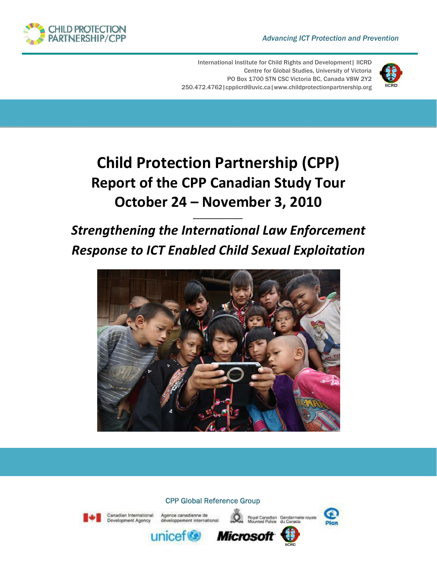#### *Advancing ICT Protection and Prevention*



International Institute for Child Rights and Development | IICRD Centre for Global Studies, University of Victoria PO Box 1700 STN CSC Victoria BC, Canada V8W 2Y2 250.472.4762|cppiicrd@uvic.ca|www.childprotectionpartnership.org



# **Child Protection Partnership (CPP) Report of the CPP Canadian Study Tour October 24 – November 3, 2010**

# *Strengthening the International Law Enforcement Response to ICT Enabled Child Sexual Exploitation*

*\_\_\_\_\_\_\_\_\_\_\_\_\_\_*



## CPP Global Reference Group



Canadian International



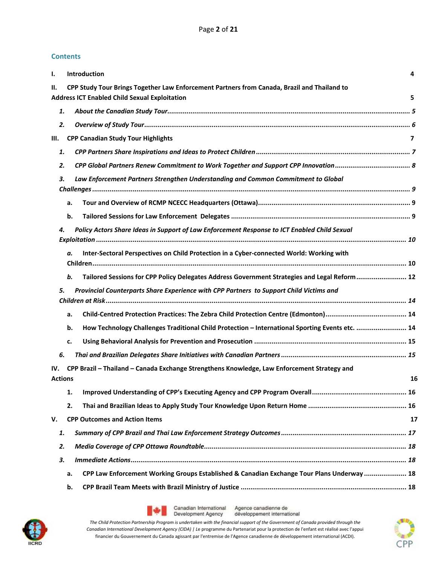#### **Contents**

| $\mathbf{I}$ . |    | Introduction                                                                                                                                        | 4  |
|----------------|----|-----------------------------------------------------------------------------------------------------------------------------------------------------|----|
| Н.             |    | CPP Study Tour Brings Together Law Enforcement Partners from Canada, Brazil and Thailand to<br><b>Address ICT Enabled Child Sexual Exploitation</b> | 5  |
|                | 1. |                                                                                                                                                     |    |
|                | 2. |                                                                                                                                                     |    |
| III.           |    | <b>CPP Canadian Study Tour Highlights</b>                                                                                                           | 7  |
|                | 1. |                                                                                                                                                     |    |
|                | 2. |                                                                                                                                                     |    |
|                | 3. | Law Enforcement Partners Strengthen Understanding and Common Commitment to Global                                                                   |    |
|                |    | a.                                                                                                                                                  |    |
|                |    | b.                                                                                                                                                  |    |
|                | 4. | Policy Actors Share Ideas in Support of Law Enforcement Response to ICT Enabled Child Sexual                                                        |    |
|                |    | Inter-Sectoral Perspectives on Child Protection in a Cyber-connected World: Working with<br>а.                                                      |    |
|                |    | Tailored Sessions for CPP Policy Delegates Address Government Strategies and Legal Reform 12<br>b.                                                  |    |
|                | 5. | Provincial Counterparts Share Experience with CPP Partners to Support Child Victims and                                                             |    |
|                |    | a.                                                                                                                                                  |    |
|                |    | How Technology Challenges Traditional Child Protection - International Sporting Events etc.  14<br>b.                                               |    |
|                |    | c.                                                                                                                                                  |    |
|                | 6. |                                                                                                                                                     |    |
| IV.            |    | CPP Brazil - Thailand - Canada Exchange Strengthens Knowledge, Law Enforcement Strategy and                                                         |    |
| <b>Actions</b> |    |                                                                                                                                                     | 16 |
|                |    | 1.                                                                                                                                                  |    |
|                |    | 2.                                                                                                                                                  |    |
| V.             |    | <b>CPP Outcomes and Action Items</b>                                                                                                                | 17 |
|                | 1. |                                                                                                                                                     |    |
|                | 2. |                                                                                                                                                     |    |
|                | 3. |                                                                                                                                                     |    |
|                |    | CPP Law Enforcement Working Groups Established & Canadian Exchange Tour Plans Underway  18<br>a.                                                    |    |
|                |    | b.                                                                                                                                                  |    |
|                |    |                                                                                                                                                     |    |





Agence canadienne de développement international

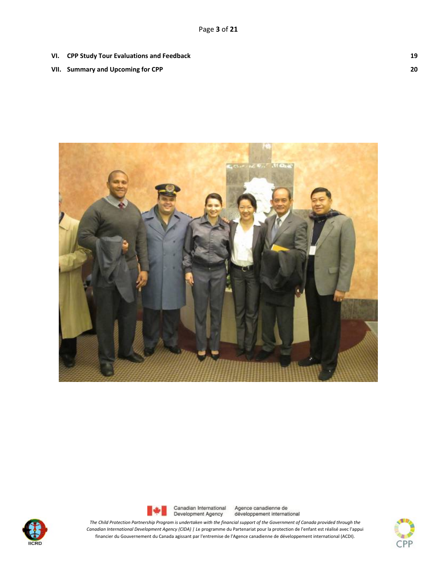- **VI. CPP Study Tour Evaluations and Feedback 19**
- **VII. Summary and Upcoming for CPP 20**







Agence canadienne de développement international

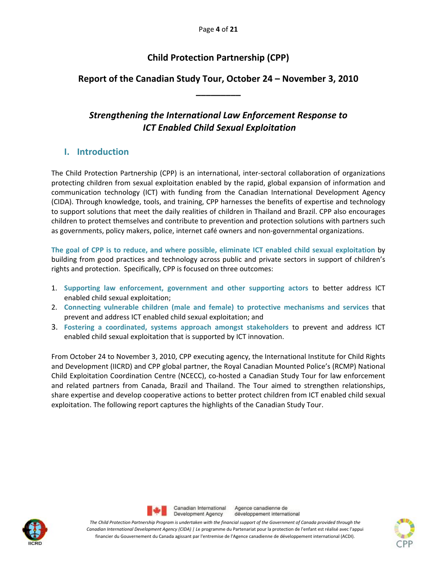# **Child Protection Partnership (CPP)**

# **Report of the Canadian Study Tour, October 24 – November 3, 2010 \_\_\_\_\_\_\_\_\_**

# *Strengthening the International Law Enforcement Response to ICT Enabled Child Sexual Exploitation*

# **I. Introduction**

The Child Protection Partnership (CPP) is an international, inter‐sectoral collaboration of organizations protecting children from sexual exploitation enabled by the rapid, global expansion of information and communication technology (ICT) with funding from the Canadian International Development Agency (CIDA). Through knowledge, tools, and training, CPP harnesses the benefits of expertise and technology to support solutions that meet the daily realities of children in Thailand and Brazil. CPP also encourages children to protect themselves and contribute to prevention and protection solutions with partners such as governments, policy makers, police, internet café owners and non‐governmental organizations.

**The goal of CPP is to reduce, and where possible, eliminate ICT enabled child sexual exploitation** by building from good practices and technology across public and private sectors in support of children's rights and protection. Specifically, CPP is focused on three outcomes:

- 1. **Supporting law enforcement, government and other supporting actors** to better address ICT enabled child sexual exploitation;
- 2. **Connecting vulnerable children (male and female) to protective mechanisms and services** that prevent and address ICT enabled child sexual exploitation; and
- 3. **Fostering a coordinated, systems approach amongst stakeholders** to prevent and address ICT enabled child sexual exploitation that is supported by ICT innovation.

From October 24 to November 3, 2010, CPP executing agency, the International Institute for Child Rights and Development (IICRD) and CPP global partner, the Royal Canadian Mounted Police's (RCMP) National Child Exploitation Coordination Centre (NCECC), co‐hosted a Canadian Study Tour for law enforcement and related partners from Canada, Brazil and Thailand. The Tour aimed to strengthen relationships, share expertise and develop cooperative actions to better protect children from ICT enabled child sexual exploitation. The following report captures the highlights of the Canadian Study Tour.





Agence canadienne de développement international

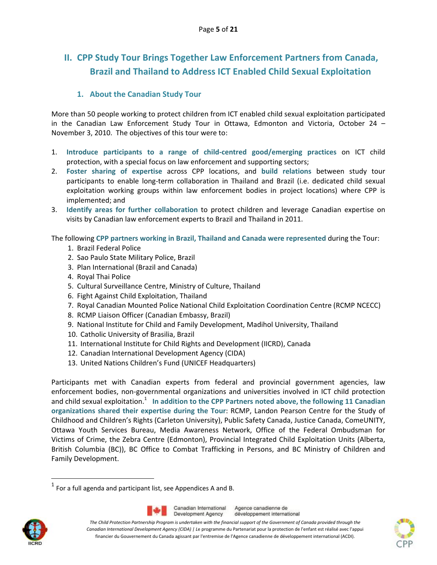# **II. CPP Study Tour Brings Together Law Enforcement Partners from Canada, Brazil and Thailand to Address ICT Enabled Child Sexual Exploitation**

### **1. About the Canadian Study Tour**

More than 50 people working to protect children from ICT enabled child sexual exploitation participated in the Canadian Law Enforcement Study Tour in Ottawa, Edmonton and Victoria, October 24 – November 3, 2010. The objectives of this tour were to:

- 1. **Introduce participants to a range of child‐centred good/emerging practices** on ICT child protection, with a special focus on law enforcement and supporting sectors;
- 2. **Foster sharing of expertise** across CPP locations, and **build relations** between study tour participants to enable long‐term collaboration in Thailand and Brazil (i.e. dedicated child sexual exploitation working groups within law enforcement bodies in project locations) where CPP is implemented; and
- 3. **Identify areas for further collaboration** to protect children and leverage Canadian expertise on visits by Canadian law enforcement experts to Brazil and Thailand in 2011.

The following **CPP partners working in Brazil, Thailand and Canada were represented** during the Tour:

- 1. Brazil Federal Police
- 2. Sao Paulo State Military Police, Brazil
- 3. Plan International (Brazil and Canada)
- 4. Royal Thai Police
- 5. Cultural Surveillance Centre, Ministry of Culture, Thailand
- 6. Fight Against Child Exploitation, Thailand
- 7. Royal Canadian Mounted Police National Child Exploitation Coordination Centre (RCMP NCECC)
- 8. RCMP Liaison Officer (Canadian Embassy, Brazil)
- 9. National Institute for Child and Family Development, Madihol University, Thailand
- 10. Catholic University of Brasilia, Brazil
- 11. International Institute for Child Rights and Development (IICRD), Canada
- 12. Canadian International Development Agency (CIDA)
- 13. United Nations Children's Fund (UNICEF Headquarters)

Participants met with Canadian experts from federal and provincial government agencies, law enforcement bodies, non-governmental organizations and universities involved in ICT child protection and child sexual exploitation.<sup>1</sup> **In addition to the CPP Partners noted above, the following 11 Canadian organizations shared their expertise during the Tour**: RCMP, Landon Pearson Centre for the Study of Childhood and Children's Rights (Carleton University), Public Safety Canada, Justice Canada, ComeUNITY, Ottawa Youth Services Bureau, Media Awareness Network, Office of the Federal Ombudsman for Victims of Crime, the Zebra Centre (Edmonton), Provincial Integrated Child Exploitation Units (Alberta, British Columbia (BC)), BC Office to Combat Trafficking in Persons, and BC Ministry of Children and Family Development.



Agence canadienne de développement international





 $^{1}$  For a full agenda and participant list, see Appendices A and B.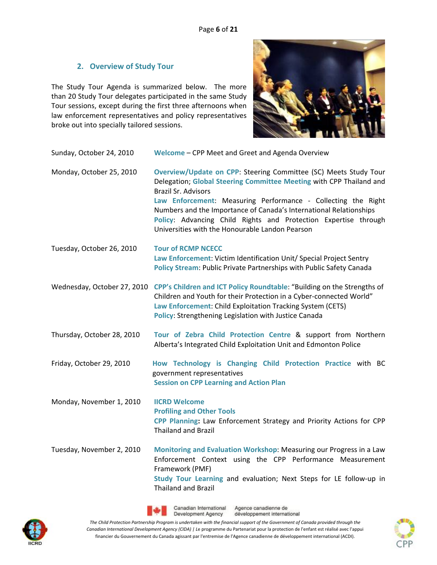## **2. Overview of Study Tour**

The Study Tour Agenda is summarized below. The more than 20 Study Tour delegates participated in the same Study Tour sessions, except during the first three afternoons when law enforcement representatives and policy representatives broke out into specially tailored sessions.



| Sunday, October 24, 2010   | Welcome - CPP Meet and Greet and Agenda Overview                                                                                                                                                                                                                                                                                                                                                                                   |  |  |
|----------------------------|------------------------------------------------------------------------------------------------------------------------------------------------------------------------------------------------------------------------------------------------------------------------------------------------------------------------------------------------------------------------------------------------------------------------------------|--|--|
| Monday, October 25, 2010   | Overview/Update on CPP: Steering Committee (SC) Meets Study Tour<br>Delegation; Global Steering Committee Meeting with CPP Thailand and<br><b>Brazil Sr. Advisors</b><br>Law Enforcement: Measuring Performance - Collecting the Right<br>Numbers and the Importance of Canada's International Relationships<br>Policy: Advancing Child Rights and Protection Expertise through<br>Universities with the Honourable Landon Pearson |  |  |
| Tuesday, October 26, 2010  | <b>Tour of RCMP NCECC</b><br>Law Enforcement: Victim Identification Unit/ Special Project Sentry<br>Policy Stream: Public Private Partnerships with Public Safety Canada                                                                                                                                                                                                                                                           |  |  |
|                            | Wednesday, October 27, 2010 CPP's Children and ICT Policy Roundtable: "Building on the Strengths of<br>Children and Youth for their Protection in a Cyber-connected World"<br>Law Enforcement: Child Exploitation Tracking System (CETS)<br><b>Policy: Strengthening Legislation with Justice Canada</b>                                                                                                                           |  |  |
| Thursday, October 28, 2010 | Tour of Zebra Child Protection Centre & support from Northern<br>Alberta's Integrated Child Exploitation Unit and Edmonton Police                                                                                                                                                                                                                                                                                                  |  |  |
| Friday, October 29, 2010   | How Technology is Changing Child Protection Practice with BC<br>government representatives<br><b>Session on CPP Learning and Action Plan</b>                                                                                                                                                                                                                                                                                       |  |  |
| Monday, November 1, 2010   | <b>IICRD Welcome</b><br><b>Profiling and Other Tools</b><br>CPP Planning: Law Enforcement Strategy and Priority Actions for CPP<br><b>Thailand and Brazil</b>                                                                                                                                                                                                                                                                      |  |  |
| Tuesday, November 2, 2010  | Monitoring and Evaluation Workshop: Measuring our Progress in a Law<br>Enforcement Context using the CPP Performance Measurement<br>Framework (PMF)<br>Study Tour Learning and evaluation; Next Steps for LE follow-up in<br><b>Thailand and Brazil</b>                                                                                                                                                                            |  |  |





Canadian International Agence canadienne de développement international

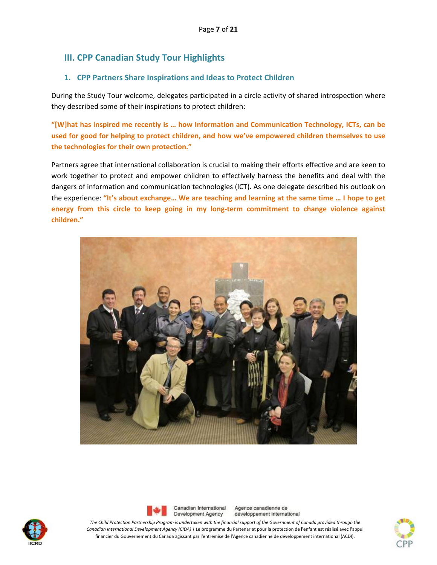# **III. CPP Canadian Study Tour Highlights**

## **1. CPP Partners Share Inspirations and Ideas to Protect Children**

During the Study Tour welcome, delegates participated in a circle activity of shared introspection where they described some of their inspirations to protect children:

**"[W]hat has inspired me recently is … how Information and Communication Technology, ICTs, can be used for good for helping to protect children, and how we've empowered children themselves to use the technologies for their own protection."**

Partners agree that international collaboration is crucial to making their efforts effective and are keen to work together to protect and empower children to effectively harness the benefits and deal with the dangers of information and communication technologies (ICT). As one delegate described his outlook on the experience: **"It's about exchange… We are teaching and learning at the same time … I hope to get energy from this circle to keep going in my long‐term commitment to change violence against children."**







Agence canadienne de développement international

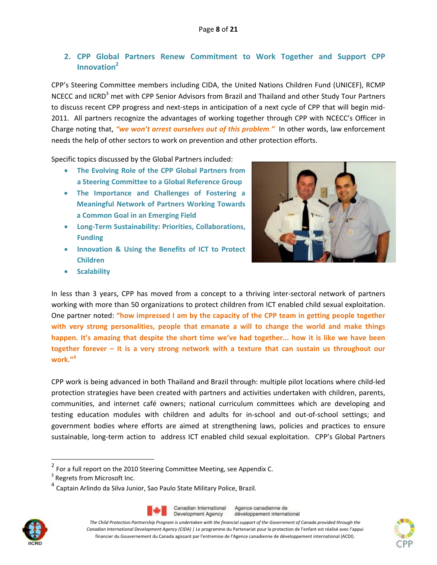# **2. CPP Global Partners Renew Commitment to Work Together and Support CPP Innovation2**

CPP's Steering Committee members including CIDA, the United Nations Children Fund (UNICEF), RCMP NCECC and IICRD<sup>3</sup> met with CPP Senior Advisors from Brazil and Thailand and other Study Tour Partners to discuss recent CPP progress and next-steps in anticipation of a next cycle of CPP that will begin mid-2011. All partners recognize the advantages of working together through CPP with NCECC's Officer in Charge noting that, *"we won't arrest ourselves out of this problem*.*"* In other words, law enforcement needs the help of other sectors to work on prevention and other protection efforts.

Specific topics discussed by the Global Partners included:

- **The Evolving Role of the CPP Global Partners from a Steering Committee to a Global Reference Group**
- **The Importance and Challenges of Fostering a Meaningful Network of Partners Working Towards a Common Goal in an Emerging Field**
- **Long‐Term Sustainability: Priorities, Collaborations, Funding**
- **Innovation & Using the Benefits of ICT to Protect Children**



**•** Scalability

In less than 3 years, CPP has moved from a concept to a thriving inter-sectoral network of partners working with more than 50 organizations to protect children from ICT enabled child sexual exploitation. One partner noted: **"how impressed I am by the capacity of the CPP team in getting people together with very strong personalities, people that emanate a will to change the world and make things happen. It's amazing that despite the short time we've had together... how it is like we have been together forever – it is a very strong network with a texture that can sustain us throughout our work."<sup>4</sup>**

CPP work is being advanced in both Thailand and Brazil through: multiple pilot locations where child‐led protection strategies have been created with partners and activities undertaken with children, parents, communities, and internet café owners; national curriculum committees which are developing and testing education modules with children and adults for in‐school and out‐of‐school settings; and government bodies where efforts are aimed at strengthening laws, policies and practices to ensure sustainable, long-term action to address ICT enabled child sexual exploitation. CPP's Global Partners

<sup>4</sup> Captain Arlindo da Silva Junior, Sao Paulo State Military Police, Brazil.



Canadian International Agence canadienne de Development Agency développement international





 $2$  For a full report on the 2010 Steering Committee Meeting, see Appendix C.

<sup>&</sup>lt;sup>3</sup> Regrets from Microsoft Inc.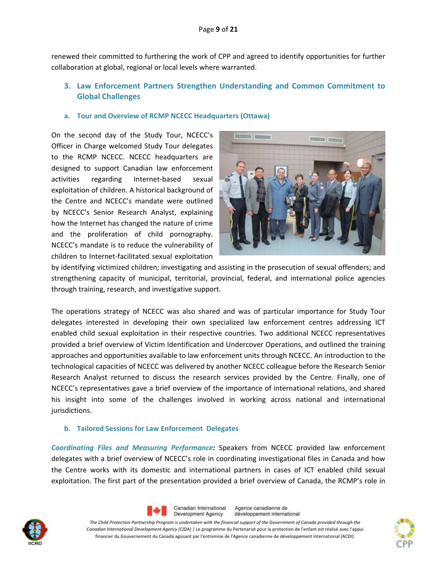renewed their committed to furthering the work of CPP and agreed to identify opportunities for further collaboration at global, regional or local levels where warranted.

# **3. Law Enforcement Partners Strengthen Understanding and Common Commitment to Global Challenges**

#### **a. Tour and Overview of RCMP NCECC Headquarters (Ottawa)**

On the second day of the Study Tour, NCECC's Officer in Charge welcomed Study Tour delegates to the RCMP NCECC. NCECC headquarters are designed to support Canadian law enforcement activities regarding Internet‐based sexual exploitation of children. A historical background of the Centre and NCECC's mandate were outlined by NCECC's Senior Research Analyst, explaining how the Internet has changed the nature of crime and the proliferation of child pornography. NCECC's mandate is to reduce the vulnerability of children to Internet‐facilitated sexual exploitation



by identifying victimized children; investigating and assisting in the prosecution of sexual offenders; and strengthening capacity of municipal, territorial, provincial, federal, and international police agencies through training, research, and investigative support.

The operations strategy of NCECC was also shared and was of particular importance for Study Tour delegates interested in developing their own specialized law enforcement centres addressing ICT enabled child sexual exploitation in their respective countries. Two additional NCECC representatives provided a brief overview of Victim Identification and Undercover Operations, and outlined the training approaches and opportunities available to law enforcement units through NCECC. An introduction to the technological capacities of NCECC was delivered by another NCECC colleague before the Research Senior Research Analyst returned to discuss the research services provided by the Centre. Finally, one of NCECC's representatives gave a brief overview of the importance of international relations, and shared his insight into some of the challenges involved in working across national and international jurisdictions.

#### **b. Tailored Sessions for Law Enforcement Delegates**

*Coordinating Files and Measuring Performance:* Speakers from NCECC provided law enforcement delegates with a brief overview of NCECC's role in coordinating investigational files in Canada and how the Centre works with its domestic and international partners in cases of ICT enabled child sexual exploitation. The first part of the presentation provided a brief overview of Canada, the RCMP's role in





Agence canadienne de Canadian International Development Agency développement international

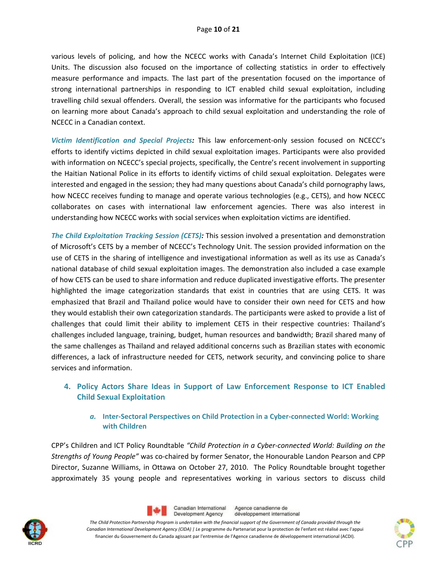various levels of policing, and how the NCECC works with Canada's Internet Child Exploitation (ICE) Units. The discussion also focused on the importance of collecting statistics in order to effectively measure performance and impacts. The last part of the presentation focused on the importance of strong international partnerships in responding to ICT enabled child sexual exploitation, including travelling child sexual offenders. Overall, the session was informative for the participants who focused on learning more about Canada's approach to child sexual exploitation and understanding the role of NCECC in a Canadian context.

*Victim Identification and Special Projects:* This law enforcement‐only session focused on NCECC's efforts to identify victims depicted in child sexual exploitation images. Participants were also provided with information on NCECC's special projects, specifically, the Centre's recent involvement in supporting the Haitian National Police in its efforts to identify victims of child sexual exploitation. Delegates were interested and engaged in the session; they had many questions about Canada's child pornography laws, how NCECC receives funding to manage and operate various technologies (e.g., CETS), and how NCECC collaborates on cases with international law enforcement agencies. There was also interest in understanding how NCECC works with social services when exploitation victims are identified.

*The Child Exploitation Tracking Session (CETS):* This session involved a presentation and demonstration of Microsoft's CETS by a member of NCECC's Technology Unit. The session provided information on the use of CETS in the sharing of intelligence and investigational information as well as its use as Canada's national database of child sexual exploitation images. The demonstration also included a case example of how CETS can be used to share information and reduce duplicated investigative efforts. The presenter highlighted the image categorization standards that exist in countries that are using CETS. It was emphasized that Brazil and Thailand police would have to consider their own need for CETS and how they would establish their own categorization standards. The participants were asked to provide a list of challenges that could limit their ability to implement CETS in their respective countries: Thailand's challenges included language, training, budget, human resources and bandwidth; Brazil shared many of the same challenges as Thailand and relayed additional concerns such as Brazilian states with economic differences, a lack of infrastructure needed for CETS, network security, and convincing police to share services and information.

# **4. Policy Actors Share Ideas in Support of Law Enforcement Response to ICT Enabled Child Sexual Exploitation**

#### *a.* **Inter‐Sectoral Perspectives on Child Protection in a Cyber‐connected World: Working with Children**

CPP's Children and ICT Policy Roundtable *"Child Protection in a Cyber‐connected World: Building on the Strengths of Young People"* was co‐chaired by former Senator, the Honourable Landon Pearson and CPP Director, Suzanne Williams, in Ottawa on October 27, 2010. The Policy Roundtable brought together approximately 35 young people and representatives working in various sectors to discuss child





Agence canadienne de Canadian International Development Agency développement international

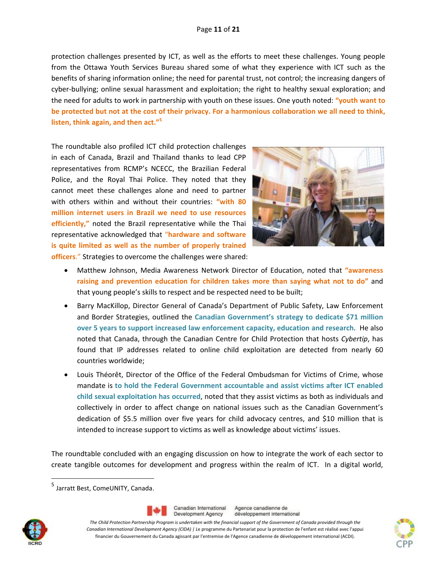protection challenges presented by ICT, as well as the efforts to meet these challenges. Young people from the Ottawa Youth Services Bureau shared some of what they experience with ICT such as the benefits of sharing information online; the need for parental trust, not control; the increasing dangers of cyber‐bullying; online sexual harassment and exploitation; the right to healthy sexual exploration; and the need for adults to work in partnership with youth on these issues. One youth noted: **"youth want to** be protected but not at the cost of their privacy. For a harmonious collaboration we all need to think, **listen, think again, and then act."<sup>5</sup>**

The roundtable also profiled ICT child protection challenges in each of Canada, Brazil and Thailand thanks to lead CPP representatives from RCMP's NCECC, the Brazilian Federal Police, and the Royal Thai Police. They noted that they cannot meet these challenges alone and need to partner with others within and without their countries: **"with 80 million internet users in Brazil we need to use resources efficiently,"** noted the Brazil representative while the Thai representative acknowledged that "**hardware and software is quite limited as well as the number of properly trained officers**." Strategies to overcome the challenges were shared:



- Matthew Johnson, Media Awareness Network Director of Education, noted that **"awareness raising and prevention education for children takes more than saying what not to do"** and that young people's skills to respect and be respected need to be built;
- Barry MacKillop, Director General of Canada's Department of Public Safety, Law Enforcement and Border Strategies, outlined the **Canadian Government's strategy to dedicate \$71 million over 5 years to support increased law enforcement capacity, education and research**. He also noted that Canada, through the Canadian Centre for Child Protection that hosts *Cybertip*, has found that IP addresses related to online child exploitation are detected from nearly 60 countries worldwide;
- Louis Théorêt, Director of the Office of the Federal Ombudsman for Victims of Crime, whose mandate is **to hold the Federal Government accountable and assist victims after ICT enabled child sexual exploitation has occurred**, noted that they assist victims as both as individuals and collectively in order to affect change on national issues such as the Canadian Government's dedication of \$5.5 million over five years for child advocacy centres, and \$10 million that is intended to increase support to victims as well as knowledge about victims' issues.

The roundtable concluded with an engaging discussion on how to integrate the work of each sector to create tangible outcomes for development and progress within the realm of ICT. In a digital world,

 <sup>5</sup> Jarratt Best, ComeUNITY, Canada.



Canadian International Development Agency

Agence canadienne de développement international

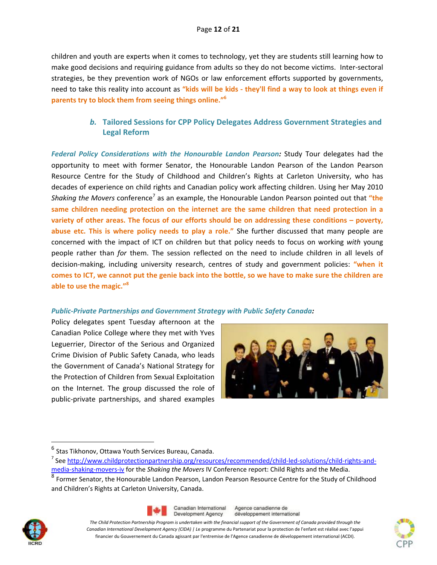children and youth are experts when it comes to technology, yet they are students still learning how to make good decisions and requiring guidance from adults so they do not become victims. Inter‐sectoral strategies, be they prevention work of NGOs or law enforcement efforts supported by governments, need to take this reality into account as **"kids will be kids ‐ they'll find a way to look at things even if parents try to block them from seeing things online."<sup>6</sup>**

# *b.* **Tailored Sessions for CPP Policy Delegates Address Government Strategies and Legal Reform**

*Federal Policy Considerations with the Honourable Landon Pearson:* Study Tour delegates had the opportunity to meet with former Senator, the Honourable Landon Pearson of the Landon Pearson Resource Centre for the Study of Childhood and Children's Rights at Carleton University, who has decades of experience on child rights and Canadian policy work affecting children. Using her May 2010 *Shaking the Movers* conference<sup>7</sup> as an example, the Honourable Landon Pearson pointed out that **"the same children needing protection on the internet are the same children that need protection in a variety of other areas. The focus of our efforts should be on addressing these conditions – poverty, abuse etc. This is where policy needs to play a role."** She further discussed that many people are concerned with the impact of ICT on children but that policy needs to focus on working *with* young people rather than *for* them. The session reflected on the need to include children in all levels of decision‐making, including university research, centres of study and government policies: **"when it** comes to ICT, we cannot put the genie back into the bottle, so we have to make sure the children are **able to use the magic."<sup>8</sup>**

#### *Public‐Private Partnerships and Government Strategy with Public Safety Canada:*

Policy delegates spent Tuesday afternoon at the Canadian Police College where they met with Yves Leguerrier, Director of the Serious and Organized Crime Division of Public Safety Canada, who leads the Government of Canada's National Strategy for the Protection of Children from Sexual Exploitation on the Internet. The group discussed the role of public‐private partnerships, and shared examples



media‐shaking‐movers‐iv for the *Shaking the Movers* IV Conference report: Child Rights and the Media. <sup>8</sup> Former Senator, the Honourable Landon Pearson, Landon Pearson Resource Centre for the Study of Childhood and Children's Rights at Carleton University, Canada.





Agence canadienne de développement international



<sup>&</sup>lt;sup>6</sup> Stas Tikhonov, Ottawa Youth Services Bureau, Canada.

<sup>&</sup>lt;sup>7</sup> See http://www.childprotectionpartnership.org/resources/recommended/child-led-solutions/child-rights-and-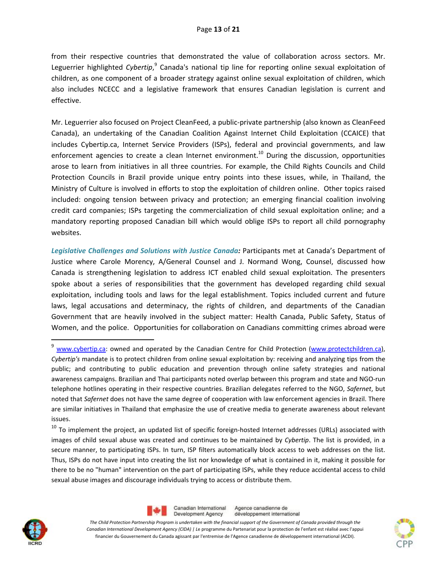from their respective countries that demonstrated the value of collaboration across sectors. Mr. Leguerrier highlighted *Cybertip*,<sup>9</sup> Canada's national tip line for reporting online sexual exploitation of children, as one component of a broader strategy against online sexual exploitation of children, which also includes NCECC and a legislative framework that ensures Canadian legislation is current and effective.

Mr. Leguerrier also focused on Project CleanFeed, a public‐private partnership (also known as CleanFeed Canada), an undertaking of the Canadian Coalition Against Internet Child Exploitation (CCAICE) that includes Cybertip.ca, Internet Service Providers (ISPs), federal and provincial governments, and law enforcement agencies to create a clean Internet environment.<sup>10</sup> During the discussion, opportunities arose to learn from initiatives in all three countries. For example, the Child Rights Councils and Child Protection Councils in Brazil provide unique entry points into these issues, while, in Thailand, the Ministry of Culture is involved in efforts to stop the exploitation of children online. Other topics raised included: ongoing tension between privacy and protection; an emerging financial coalition involving credit card companies; ISPs targeting the commercialization of child sexual exploitation online; and a mandatory reporting proposed Canadian bill which would oblige ISPs to report all child pornography websites.

*Legislative Challenges and Solutions with Justice Canada:* Participants met at Canada's Department of Justice where Carole Morency, A/General Counsel and J. Normand Wong, Counsel, discussed how Canada is strengthening legislation to address ICT enabled child sexual exploitation. The presenters spoke about a series of responsibilities that the government has developed regarding child sexual exploitation, including tools and laws for the legal establishment. Topics included current and future laws, legal accusations and determinacy, the rights of children, and departments of the Canadian Government that are heavily involved in the subject matter: Health Canada, Public Safety, Status of Women, and the police. Opportunities for collaboration on Canadians committing crimes abroad were





Canadian International Agence canadienne de Development Agency développement international



<sup>&</sup>lt;sup>9</sup> www.cybertip.ca: owned and operated by the Canadian Centre for Child Protection (www.protectchildren.ca), *Cybertip's* mandate is to protect children from online sexual exploitation by: receiving and analyzing tips from the public; and contributing to public education and prevention through online safety strategies and national awareness campaigns. Brazilian and Thai participants noted overlap between this program and state and NGO‐run telephone hotlines operating in their respective countries. Brazilian delegates referred to the NGO, *Safernet*, but noted that *Safernet* does not have the same degree of cooperation with law enforcement agencies in Brazil. There are similar initiatives in Thailand that emphasize the use of creative media to generate awareness about relevant issues.

 $10$  To implement the project, an updated list of specific foreign-hosted Internet addresses (URLs) associated with images of child sexual abuse was created and continues to be maintained by *Cybertip*. The list is provided, in a secure manner, to participating ISPs. In turn, ISP filters automatically block access to web addresses on the list. Thus, ISPs do not have input into creating the list nor knowledge of what is contained in it, making it possible for there to be no "human" intervention on the part of participating ISPs, while they reduce accidental access to child sexual abuse images and discourage individuals trying to access or distribute them.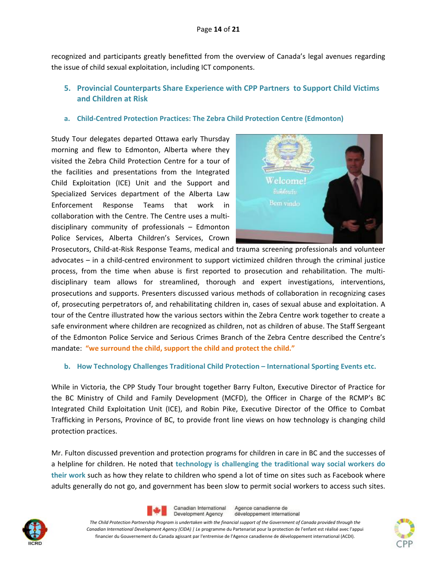recognized and participants greatly benefitted from the overview of Canada's legal avenues regarding the issue of child sexual exploitation, including ICT components.

# **5. Provincial Counterparts Share Experience with CPP Partners to Support Child Victims and Children at Risk**

#### **a. Child‐Centred Protection Practices: The Zebra Child Protection Centre (Edmonton)**

Study Tour delegates departed Ottawa early Thursday morning and flew to Edmonton, Alberta where they visited the Zebra Child Protection Centre for a tour of the facilities and presentations from the Integrated Child Exploitation (ICE) Unit and the Support and Specialized Services department of the Alberta Law Enforcement Response Teams that work in collaboration with the Centre. The Centre uses a multi‐ disciplinary community of professionals – Edmonton Police Services, Alberta Children's Services, Crown



Prosecutors, Child‐at‐Risk Response Teams, medical and trauma screening professionals and volunteer advocates – in a child‐centred environment to support victimized children through the criminal justice process, from the time when abuse is first reported to prosecution and rehabilitation. The multidisciplinary team allows for streamlined, thorough and expert investigations, interventions, prosecutions and supports. Presenters discussed various methods of collaboration in recognizing cases of, prosecuting perpetrators of, and rehabilitating children in, cases of sexual abuse and exploitation. A tour of the Centre illustrated how the various sectors within the Zebra Centre work together to create a safe environment where children are recognized as children, not as children of abuse. The Staff Sergeant of the Edmonton Police Service and Serious Crimes Branch of the Zebra Centre described the Centre's mandate: **"we surround the child, support the child and protect the child."** 

#### **b. How Technology Challenges Traditional Child Protection – International Sporting Events etc.**

While in Victoria, the CPP Study Tour brought together Barry Fulton, Executive Director of Practice for the BC Ministry of Child and Family Development (MCFD), the Officer in Charge of the RCMP's BC Integrated Child Exploitation Unit (ICE), and Robin Pike, Executive Director of the Office to Combat Trafficking in Persons, Province of BC, to provide front line views on how technology is changing child protection practices.

Mr. Fulton discussed prevention and protection programs for children in care in BC and the successes of a helpline for children. He noted that **technology is challenging the traditional way social workers do their work** such as how they relate to children who spend a lot of time on sites such as Facebook where adults generally do not go, and government has been slow to permit social workers to access such sites.





Agence canadienne de Canadian International Development Agency développement international

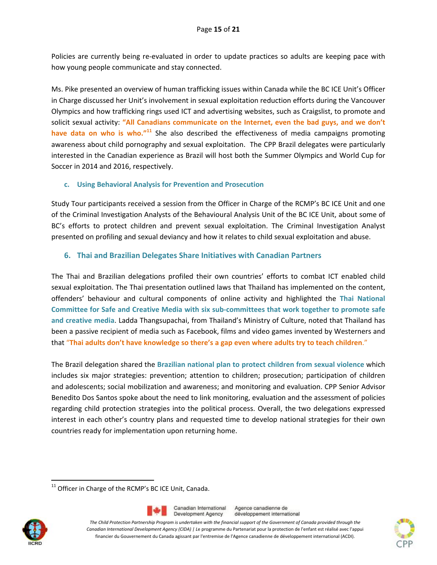Policies are currently being re‐evaluated in order to update practices so adults are keeping pace with how young people communicate and stay connected.

Ms. Pike presented an overview of human trafficking issues within Canada while the BC ICE Unit's Officer in Charge discussed her Unit's involvement in sexual exploitation reduction efforts during the Vancouver Olympics and how trafficking rings used ICT and advertising websites, such as Craigslist, to promote and solicit sexual activity: **"All Canadians communicate on the Internet, even the bad guys, and we don't have data on who is who."<sup>11</sup>** She also described the effectiveness of media campaigns promoting awareness about child pornography and sexual exploitation. The CPP Brazil delegates were particularly interested in the Canadian experience as Brazil will host both the Summer Olympics and World Cup for Soccer in 2014 and 2016, respectively.

#### **c. Using Behavioral Analysis for Prevention and Prosecution**

Study Tour participants received a session from the Officer in Charge of the RCMP's BC ICE Unit and one of the Criminal Investigation Analysts of the Behavioural Analysis Unit of the BC ICE Unit, about some of BC's efforts to protect children and prevent sexual exploitation. The Criminal Investigation Analyst presented on profiling and sexual deviancy and how it relates to child sexual exploitation and abuse.

## **6. Thai and Brazilian Delegates Share Initiatives with Canadian Partners**

The Thai and Brazilian delegations profiled their own countries' efforts to combat ICT enabled child sexual exploitation. The Thai presentation outlined laws that Thailand has implemented on the content, offenders' behaviour and cultural components of online activity and highlighted the **Thai National Committee for Safe and Creative Media with six sub‐committees that work together to promote safe and creative media**. Ladda Thangsupachai, from Thailand's Ministry of Culture, noted that Thailand has been a passive recipient of media such as Facebook, films and video games invented by Westerners and that "**Thai adults don't have knowledge so there's a gap even where adults try to teach children**."

The Brazil delegation shared the **Brazilian national plan to protect children from sexual violence** which includes six major strategies: prevention; attention to children; prosecution; participation of children and adolescents; social mobilization and awareness; and monitoring and evaluation. CPP Senior Advisor Benedito Dos Santos spoke about the need to link monitoring, evaluation and the assessment of policies regarding child protection strategies into the political process. Overall, the two delegations expressed interest in each other's country plans and requested time to develop national strategies for their own countries ready for implementation upon returning home.

 <sup>11</sup> Officer in Charge of the RCMP's BC ICE Unit, Canada.





Agence canadienne de développement international

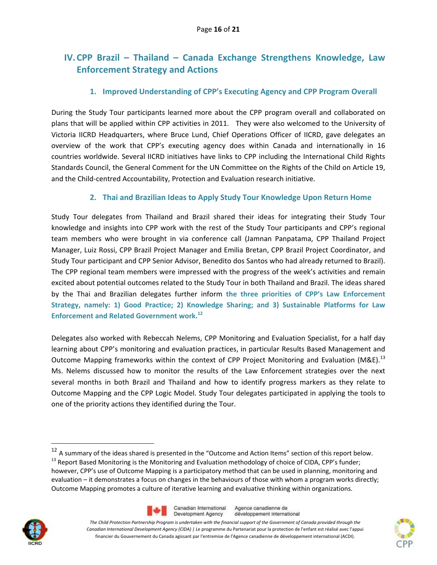# **IV.CPP Brazil – Thailand – Canada Exchange Strengthens Knowledge, Law Enforcement Strategy and Actions**

## **1. Improved Understanding of CPP's Executing Agency and CPP Program Overall**

During the Study Tour participants learned more about the CPP program overall and collaborated on plans that will be applied within CPP activities in 2011. They were also welcomed to the University of Victoria IICRD Headquarters, where Bruce Lund, Chief Operations Officer of IICRD, gave delegates an overview of the work that CPP's executing agency does within Canada and internationally in 16 countries worldwide. Several IICRD initiatives have links to CPP including the International Child Rights Standards Council, the General Comment for the UN Committee on the Rights of the Child on Article 19, and the Child‐centred Accountability, Protection and Evaluation research initiative.

## **2. Thai and Brazilian Ideas to Apply Study Tour Knowledge Upon Return Home**

Study Tour delegates from Thailand and Brazil shared their ideas for integrating their Study Tour knowledge and insights into CPP work with the rest of the Study Tour participants and CPP's regional team members who were brought in via conference call (Jamnan Panpatama, CPP Thailand Project Manager, Luiz Rossi, CPP Brazil Project Manager and Emilia Bretan, CPP Brazil Project Coordinator, and Study Tour participant and CPP Senior Advisor, Benedito dos Santos who had already returned to Brazil). The CPP regional team members were impressed with the progress of the week's activities and remain excited about potential outcomes related to the Study Tour in both Thailand and Brazil. The ideas shared by the Thai and Brazilian delegates further inform **the three priorities of CPP's Law Enforcement Strategy, namely: 1) Good Practice; 2) Knowledge Sharing; and 3) Sustainable Platforms for Law Enforcement and Related Government work.<sup>12</sup>**

Delegates also worked with Rebeccah Nelems, CPP Monitoring and Evaluation Specialist, for a half day learning about CPP's monitoring and evaluation practices, in particular Results Based Management and Outcome Mapping frameworks within the context of CPP Project Monitoring and Evaluation (M&E).<sup>13</sup> Ms. Nelems discussed how to monitor the results of the Law Enforcement strategies over the next several months in both Brazil and Thailand and how to identify progress markers as they relate to Outcome Mapping and the CPP Logic Model. Study Tour delegates participated in applying the tools to one of the priority actions they identified during the Tour.

 $^{12}$  A summary of the ideas shared is presented in the "Outcome and Action Items" section of this report below. <sup>13</sup> Report Based Monitoring is the Monitoring and Evaluation methodology of choice of CIDA, CPP's funder; however, CPP's use of Outcome Mapping is a participatory method that can be used in planning, monitoring and evaluation – it demonstrates a focus on changes in the behaviours of those with whom a program works directly; Outcome Mapping promotes a culture of iterative learning and evaluative thinking within organizations.



Canadian International Agence canadienne de Development Agency développement international





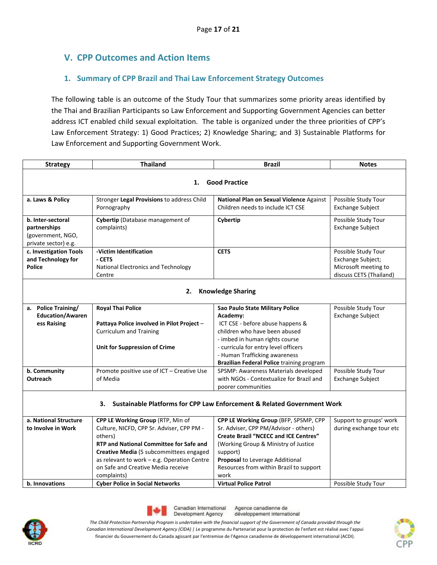# **V. CPP Outcomes and Action Items**

# **1. Summary of CPP Brazil and Thai Law Enforcement Strategy Outcomes**

The following table is an outcome of the Study Tour that summarizes some priority areas identified by the Thai and Brazilian Participants so Law Enforcement and Supporting Government Agencies can better address ICT enabled child sexual exploitation. The table is organized under the three priorities of CPP's Law Enforcement Strategy: 1) Good Practices; 2) Knowledge Sharing; and 3) Sustainable Platforms for Law Enforcement and Supporting Government Work.

| <b>Strategy</b>         | <b>Thailand</b>                                | <b>Brazil</b>                                                           | <b>Notes</b>             |  |  |  |  |  |  |  |
|-------------------------|------------------------------------------------|-------------------------------------------------------------------------|--------------------------|--|--|--|--|--|--|--|
|                         | <b>Good Practice</b><br>1.                     |                                                                         |                          |  |  |  |  |  |  |  |
|                         |                                                |                                                                         |                          |  |  |  |  |  |  |  |
| a. Laws & Policy        | Stronger Legal Provisions to address Child     | National Plan on Sexual Violence Against                                | Possible Study Tour      |  |  |  |  |  |  |  |
|                         | Pornography                                    | Children needs to include ICT CSE                                       | <b>Exchange Subject</b>  |  |  |  |  |  |  |  |
| b. Inter-sectoral       | Cybertip (Database management of               | Cybertip                                                                | Possible Study Tour      |  |  |  |  |  |  |  |
| partnerships            | complaints)                                    |                                                                         | <b>Exchange Subject</b>  |  |  |  |  |  |  |  |
| (government, NGO,       |                                                |                                                                         |                          |  |  |  |  |  |  |  |
| private sector) e.g.    |                                                |                                                                         |                          |  |  |  |  |  |  |  |
| c. Investigation Tools  | -Victim Identification                         | <b>CETS</b>                                                             | Possible Study Tour      |  |  |  |  |  |  |  |
| and Technology for      | - CETS                                         |                                                                         | Exchange Subject;        |  |  |  |  |  |  |  |
| <b>Police</b>           | National Electronics and Technology            |                                                                         | Microsoft meeting to     |  |  |  |  |  |  |  |
|                         | Centre                                         |                                                                         | discuss CETS (Thailand)  |  |  |  |  |  |  |  |
|                         |                                                |                                                                         |                          |  |  |  |  |  |  |  |
|                         | 2.                                             | <b>Knowledge Sharing</b>                                                |                          |  |  |  |  |  |  |  |
| a. Police Training/     | <b>Royal Thai Police</b>                       | Sao Paulo State Military Police                                         | Possible Study Tour      |  |  |  |  |  |  |  |
| <b>Education/Awaren</b> |                                                | Academy:                                                                | <b>Exchange Subject</b>  |  |  |  |  |  |  |  |
| ess Raising             | Pattaya Police involved in Pilot Project -     | ICT CSE - before abuse happens &                                        |                          |  |  |  |  |  |  |  |
|                         | <b>Curriculum and Training</b>                 | children who have been abused                                           |                          |  |  |  |  |  |  |  |
|                         |                                                | - imbed in human rights course                                          |                          |  |  |  |  |  |  |  |
|                         | Unit for Suppression of Crime                  | - curricula for entry level officers                                    |                          |  |  |  |  |  |  |  |
|                         |                                                | - Human Trafficking awareness                                           |                          |  |  |  |  |  |  |  |
|                         |                                                | Brazilian Federal Police training program                               |                          |  |  |  |  |  |  |  |
| b. Community            | Promote positive use of ICT - Creative Use     | SPSMP: Awareness Materials developed                                    | Possible Study Tour      |  |  |  |  |  |  |  |
| Outreach                | of Media                                       | with NGOs - Contextualize for Brazil and                                | <b>Exchange Subject</b>  |  |  |  |  |  |  |  |
|                         |                                                | poorer communities                                                      |                          |  |  |  |  |  |  |  |
|                         |                                                |                                                                         |                          |  |  |  |  |  |  |  |
|                         | 3.                                             | Sustainable Platforms for CPP Law Enforcement & Related Government Work |                          |  |  |  |  |  |  |  |
| a. National Structure   | CPP LE Working Group (RTP, Min of              | CPP LE Working Group (BFP, SPSMP, CPP                                   | Support to groups' work  |  |  |  |  |  |  |  |
| to Involve in Work      | Culture, NICFD, CPP Sr. Adviser, CPP PM -      | Sr. Adviser, CPP PM/Advisor - others)                                   | during exchange tour etc |  |  |  |  |  |  |  |
|                         | others)                                        | <b>Create Brazil "NCECC and ICE Centres"</b>                            |                          |  |  |  |  |  |  |  |
|                         | <b>RTP and National Committee for Safe and</b> | (Working Group & Ministry of Justice                                    |                          |  |  |  |  |  |  |  |
|                         | Creative Media (5 subcommittees engaged        | support)                                                                |                          |  |  |  |  |  |  |  |
|                         | as relevant to work - e.g. Operation Centre    | Proposal to Leverage Additional                                         |                          |  |  |  |  |  |  |  |
|                         | on Safe and Creative Media receive             | Resources from within Brazil to support                                 |                          |  |  |  |  |  |  |  |
|                         | complaints)                                    | work                                                                    |                          |  |  |  |  |  |  |  |
| b. Innovations          | <b>Cyber Police in Social Networks</b>         | <b>Virtual Police Patrol</b>                                            | Possible Study Tour      |  |  |  |  |  |  |  |





Agence canadienne de développement international

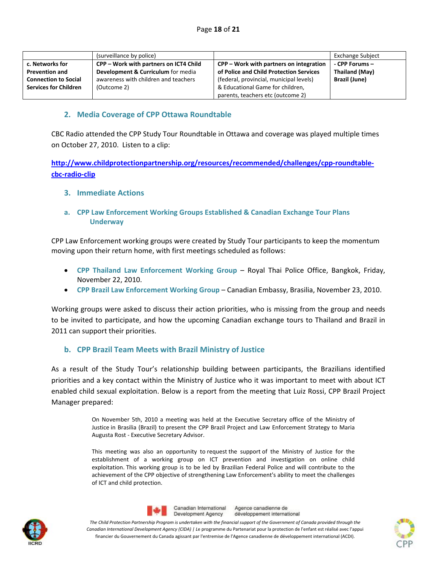|                              | (surveillance by police)               |                                         | <b>Exchange Subject</b> |
|------------------------------|----------------------------------------|-----------------------------------------|-------------------------|
| c. Networks for              | CPP – Work with partners on ICT4 Child | CPP – Work with partners on integration | - CPP Forums -          |
| <b>Prevention and</b>        | Development & Curriculum for media     | of Police and Child Protection Services | Thailand (May)          |
| <b>Connection to Social</b>  | awareness with children and teachers   | (federal, provincial, municipal levels) | <b>Brazil (June)</b>    |
| <b>Services for Children</b> | (Outcome 2)                            | & Educational Game for children,        |                         |
|                              |                                        | parents, teachers etc (outcome 2)       |                         |

#### **2. Media Coverage of CPP Ottawa Roundtable**

CBC Radio attended the CPP Study Tour Roundtable in Ottawa and coverage was played multiple times on October 27, 2010. Listen to a clip:

**http://www.childprotectionpartnership.org/resources/recommended/challenges/cpp‐roundtable‐ cbc‐radio‐clip** 

- **3. Immediate Actions**
- **a. CPP Law Enforcement Working Groups Established & Canadian Exchange Tour Plans Underway**

CPP Law Enforcement working groups were created by Study Tour participants to keep the momentum moving upon their return home, with first meetings scheduled as follows:

- **CPP Thailand Law Enforcement Working Group** Royal Thai Police Office, Bangkok, Friday, November 22, 2010.
- **CPP Brazil Law Enforcement Working Group** Canadian Embassy, Brasilia, November 23, 2010.

Working groups were asked to discuss their action priorities, who is missing from the group and needs to be invited to participate, and how the upcoming Canadian exchange tours to Thailand and Brazil in 2011 can support their priorities.

#### **b. CPP Brazil Team Meets with Brazil Ministry of Justice**

As a result of the Study Tour's relationship building between participants, the Brazilians identified priorities and a key contact within the Ministry of Justice who it was important to meet with about ICT enabled child sexual exploitation. Below is a report from the meeting that Luiz Rossi, CPP Brazil Project Manager prepared:

> On November 5th, 2010 a meeting was held at the Executive Secretary office of the Ministry of Justice in Brasilia (Brazil) to present the CPP Brazil Project and Law Enforcement Strategy to Maria Augusta Rost ‐ Executive Secretary Advisor.

> This meeting was also an opportunity to request the support of the Ministry of Justice for the establishment of a working group on ICT prevention and investigation on online child exploitation. This working group is to be led by Brazilian Federal Police and will contribute to the achievement of the CPP objective of strengthening Law Enforcement's ability to meet the challenges of ICT and child protection.





Agence canadienne de Canadian International Development Agency développement international

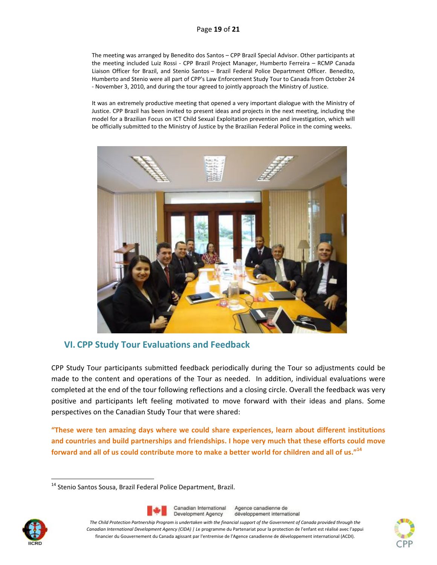The meeting was arranged by Benedito dos Santos – CPP Brazil Special Advisor. Other participants at the meeting included Luiz Rossi - CPP Brazil Project Manager, Humberto Ferreira - RCMP Canada Liaison Officer for Brazil, and Stenio Santos – Brazil Federal Police Department Officer. Benedito, Humberto and Stenio were all part of CPP's Law Enforcement Study Tour to Canada from October 24 ‐ November 3, 2010, and during the tour agreed to jointly approach the Ministry of Justice.

It was an extremely productive meeting that opened a very important dialogue with the Ministry of Justice. CPP Brazil has been invited to present ideas and projects in the next meeting, including the model for a Brazilian Focus on ICT Child Sexual Exploitation prevention and investigation, which will be officially submitted to the Ministry of Justice by the Brazilian Federal Police in the coming weeks.



# **VI. CPP Study Tour Evaluations and Feedback**

CPP Study Tour participants submitted feedback periodically during the Tour so adjustments could be made to the content and operations of the Tour as needed. In addition, individual evaluations were completed at the end of the tour following reflections and a closing circle. Overall the feedback was very positive and participants left feeling motivated to move forward with their ideas and plans. Some perspectives on the Canadian Study Tour that were shared:

**"These were ten amazing days where we could share experiences, learn about different institutions and countries and build partnerships and friendships. I hope very much that these efforts could move** forward and all of us could contribute more to make a better world for children and all of us."<sup>14</sup>





Agence canadienne de développement international



<sup>&</sup>lt;sup>14</sup> Stenio Santos Sousa, Brazil Federal Police Department, Brazil.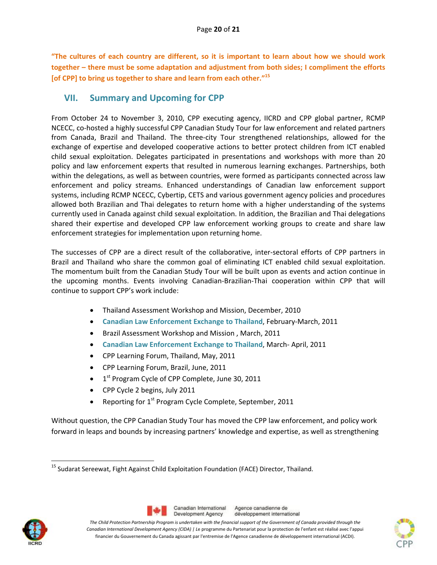**"The cultures of each country are different, so it is important to learn about how we should work together – there must be some adaptation and adjustment from both sides; I compliment the efforts [of CPP] to bring us together to share and learn from each other."<sup>15</sup>**

# **VII. Summary and Upcoming for CPP**

From October 24 to November 3, 2010, CPP executing agency, IICRD and CPP global partner, RCMP NCECC, co‐hosted a highly successful CPP Canadian Study Tour for law enforcement and related partners from Canada, Brazil and Thailand. The three‐city Tour strengthened relationships, allowed for the exchange of expertise and developed cooperative actions to better protect children from ICT enabled child sexual exploitation. Delegates participated in presentations and workshops with more than 20 policy and law enforcement experts that resulted in numerous learning exchanges. Partnerships, both within the delegations, as well as between countries, were formed as participants connected across law enforcement and policy streams. Enhanced understandings of Canadian law enforcement support systems, including RCMP NCECC, Cybertip, CETS and various government agency policies and procedures allowed both Brazilian and Thai delegates to return home with a higher understanding of the systems currently used in Canada against child sexual exploitation. In addition, the Brazilian and Thai delegations shared their expertise and developed CPP law enforcement working groups to create and share law enforcement strategies for implementation upon returning home.

The successes of CPP are a direct result of the collaborative, inter‐sectoral efforts of CPP partners in Brazil and Thailand who share the common goal of eliminating ICT enabled child sexual exploitation. The momentum built from the Canadian Study Tour will be built upon as events and action continue in the upcoming months. Events involving Canadian‐Brazilian‐Thai cooperation within CPP that will continue to support CPP's work include:

- Thailand Assessment Workshop and Mission, December, 2010
- **Canadian Law Enforcement Exchange to Thailand**, February‐March, 2011
- **•** Brazil Assessment Workshop and Mission, March, 2011
- **Canadian Law Enforcement Exchange to Thailand**, March‐ April, 2011
- CPP Learning Forum, Thailand, May, 2011
- CPP Learning Forum, Brazil, June, 2011
- $\bullet$  1<sup>st</sup> Program Cycle of CPP Complete, June 30, 2011
- CPP Cycle 2 begins, July 2011
- Reporting for  $1<sup>st</sup>$  Program Cycle Complete, September, 2011

Without question, the CPP Canadian Study Tour has moved the CPP law enforcement, and policy work forward in leaps and bounds by increasing partners' knowledge and expertise, as well as strengthening







 <sup>15</sup> Sudarat Sereewat, Fight Against Child Exploitation Foundation (FACE) Director, Thailand.